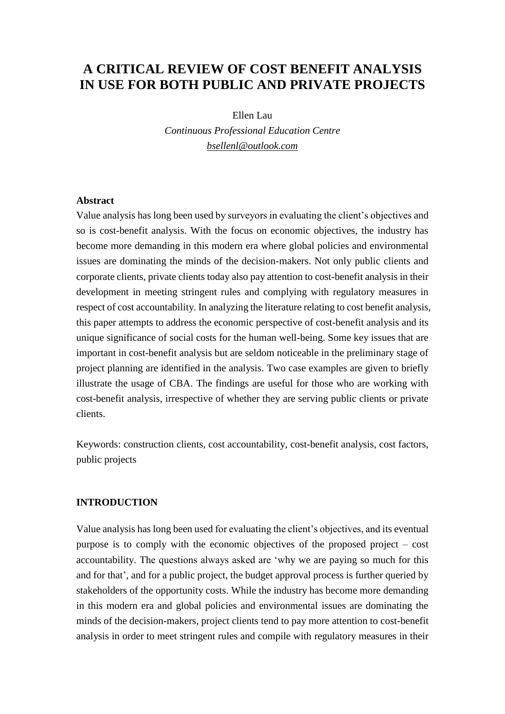# **A CRITICAL REVIEW OF COST BENEFIT ANALYSIS IN USE FOR BOTH PUBLIC AND PRIVATE PROJECTS**

Ellen Lau *Continuous Professional Education Centre [bsellenl@outlook.com](mailto:bsellenl@outlook.com)*

### **Abstract**

Value analysis has long been used by surveyors in evaluating the client's objectives and so is cost-benefit analysis. With the focus on economic objectives, the industry has become more demanding in this modern era where global policies and environmental issues are dominating the minds of the decision-makers. Not only public clients and corporate clients, private clients today also pay attention to cost-benefit analysis in their development in meeting stringent rules and complying with regulatory measures in respect of cost accountability. In analyzing the literature relating to cost benefit analysis, this paper attempts to address the economic perspective of cost-benefit analysis and its unique significance of social costs for the human well-being. Some key issues that are important in cost-benefit analysis but are seldom noticeable in the preliminary stage of project planning are identified in the analysis. Two case examples are given to briefly illustrate the usage of CBA. The findings are useful for those who are working with cost-benefit analysis, irrespective of whether they are serving public clients or private clients.

Keywords: construction clients, cost accountability, cost-benefit analysis, cost factors, public projects

#### **INTRODUCTION**

Value analysis has long been used for evaluating the client's objectives, and its eventual purpose is to comply with the economic objectives of the proposed project – cost accountability. The questions always asked are 'why we are paying so much for this and for that', and for a public project, the budget approval process is further queried by stakeholders of the opportunity costs. While the industry has become more demanding in this modern era and global policies and environmental issues are dominating the minds of the decision-makers, project clients tend to pay more attention to cost-benefit analysis in order to meet stringent rules and compile with regulatory measures in their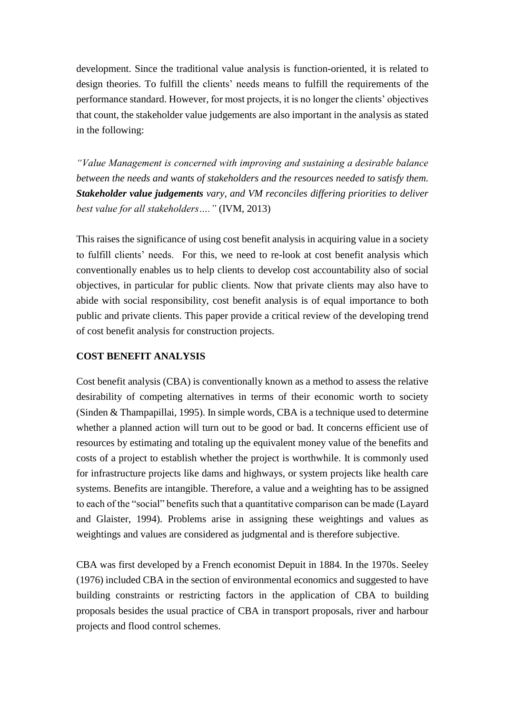development. Since the traditional value analysis is function-oriented, it is related to design theories. To fulfill the clients' needs means to fulfill the requirements of the performance standard. However, for most projects, it is no longer the clients' objectives that count, the stakeholder value judgements are also important in the analysis as stated in the following:

*"Value Management is concerned with improving and sustaining a desirable balance between the needs and wants of stakeholders and the resources needed to satisfy them. Stakeholder value judgements vary, and VM reconciles differing priorities to deliver best value for all stakeholders…."* (IVM, 2013)

This raises the significance of using cost benefit analysis in acquiring value in a society to fulfill clients' needs. For this, we need to re-look at cost benefit analysis which conventionally enables us to help clients to develop cost accountability also of social objectives, in particular for public clients. Now that private clients may also have to abide with social responsibility, cost benefit analysis is of equal importance to both public and private clients. This paper provide a critical review of the developing trend of cost benefit analysis for construction projects.

# **COST BENEFIT ANALYSIS**

Cost benefit analysis (CBA) is conventionally known as a method to assess the relative desirability of competing alternatives in terms of their economic worth to society (Sinden & Thampapillai, 1995). In simple words, CBA is a technique used to determine whether a planned action will turn out to be good or bad. It concerns efficient use of resources by estimating and totaling up the equivalent money value of the benefits and costs of a project to establish whether the project is worthwhile. It is commonly used for infrastructure projects like dams and highways, or system projects like health care systems. Benefits are intangible. Therefore, a value and a weighting has to be assigned to each of the "social" benefits such that a quantitative comparison can be made (Layard and Glaister, 1994). Problems arise in assigning these weightings and values as weightings and values are considered as judgmental and is therefore subjective.

CBA was first developed by a French economist Depuit in 1884. In the 1970s. Seeley (1976) included CBA in the section of environmental economics and suggested to have building constraints or restricting factors in the application of CBA to building proposals besides the usual practice of CBA in transport proposals, river and harbour projects and flood control schemes.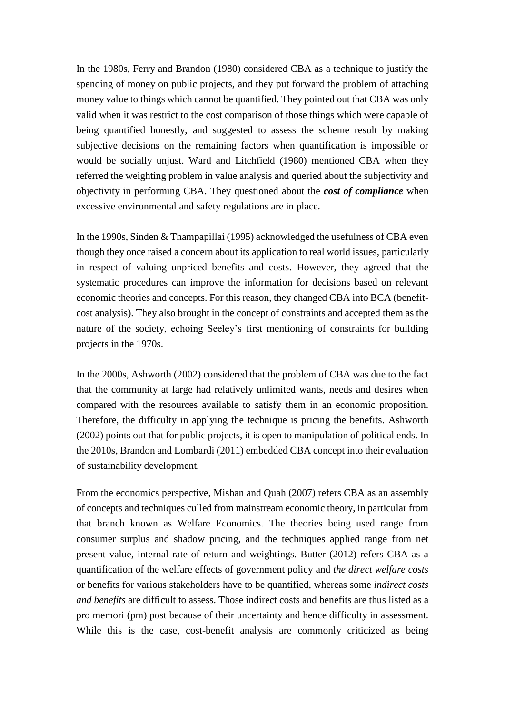In the 1980s, Ferry and Brandon (1980) considered CBA as a technique to justify the spending of money on public projects, and they put forward the problem of attaching money value to things which cannot be quantified. They pointed out that CBA was only valid when it was restrict to the cost comparison of those things which were capable of being quantified honestly, and suggested to assess the scheme result by making subjective decisions on the remaining factors when quantification is impossible or would be socially unjust. Ward and Litchfield (1980) mentioned CBA when they referred the weighting problem in value analysis and queried about the subjectivity and objectivity in performing CBA. They questioned about the *cost of compliance* when excessive environmental and safety regulations are in place.

In the 1990s, Sinden & Thampapillai (1995) acknowledged the usefulness of CBA even though they once raised a concern about its application to real world issues, particularly in respect of valuing unpriced benefits and costs. However, they agreed that the systematic procedures can improve the information for decisions based on relevant economic theories and concepts. For this reason, they changed CBA into BCA (benefitcost analysis). They also brought in the concept of constraints and accepted them as the nature of the society, echoing Seeley's first mentioning of constraints for building projects in the 1970s.

In the 2000s, Ashworth (2002) considered that the problem of CBA was due to the fact that the community at large had relatively unlimited wants, needs and desires when compared with the resources available to satisfy them in an economic proposition. Therefore, the difficulty in applying the technique is pricing the benefits. Ashworth (2002) points out that for public projects, it is open to manipulation of political ends. In the 2010s, Brandon and Lombardi (2011) embedded CBA concept into their evaluation of sustainability development.

From the economics perspective, Mishan and Quah (2007) refers CBA as an assembly of concepts and techniques culled from mainstream economic theory, in particular from that branch known as Welfare Economics. The theories being used range from consumer surplus and shadow pricing, and the techniques applied range from net present value, internal rate of return and weightings. Butter (2012) refers CBA as a quantification of the welfare effects of government policy and *the direct welfare costs* or benefits for various stakeholders have to be quantified, whereas some *indirect costs and benefits* are difficult to assess. Those indirect costs and benefits are thus listed as a pro memori (pm) post because of their uncertainty and hence difficulty in assessment. While this is the case, cost-benefit analysis are commonly criticized as being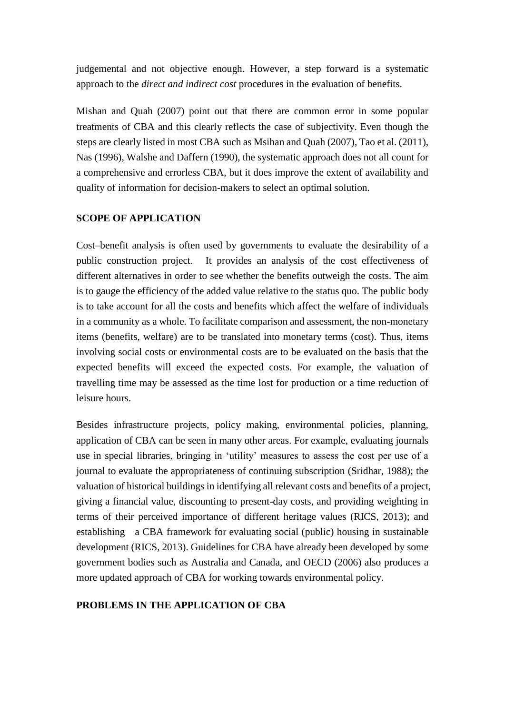judgemental and not objective enough. However, a step forward is a systematic approach to the *direct and indirect cost* procedures in the evaluation of benefits.

Mishan and Quah (2007) point out that there are common error in some popular treatments of CBA and this clearly reflects the case of subjectivity. Even though the steps are clearly listed in most CBA such as Msihan and Quah (2007), Tao et al. (2011), Nas (1996), Walshe and Daffern (1990), the systematic approach does not all count for a comprehensive and errorless CBA, but it does improve the extent of availability and quality of information for decision-makers to select an optimal solution.

# **SCOPE OF APPLICATION**

Cost–benefit analysis is often used by governments to evaluate the desirability of a public construction project. It provides an analysis of the cost effectiveness of different alternatives in order to see whether the benefits outweigh the costs. The aim is to gauge the efficiency of the added value relative to the status quo. The public body is to take account for all the costs and benefits which affect the welfare of individuals in a community as a whole. To facilitate comparison and assessment, the non-monetary items (benefits, welfare) are to be translated into monetary terms (cost). Thus, items involving social costs or environmental costs are to be evaluated on the basis that the expected benefits will exceed the expected costs. For example, the valuation of travelling time may be assessed as the time lost for production or a time reduction of leisure hours.

Besides infrastructure projects, policy making, environmental policies, planning, application of CBA can be seen in many other areas. For example, evaluating journals use in special libraries, bringing in 'utility' measures to assess the cost per use of a journal to evaluate the appropriateness of continuing subscription (Sridhar, 1988); the valuation of historical buildings in identifying all relevant costs and benefits of a project, giving a financial value, discounting to present-day costs, and providing weighting in terms of their perceived importance of different heritage values (RICS, 2013); and establishing a CBA framework for evaluating social (public) housing in sustainable development (RICS, 2013). Guidelines for CBA have already been developed by some government bodies such as Australia and Canada, and OECD (2006) also produces a more updated approach of CBA for working towards environmental policy.

# **PROBLEMS IN THE APPLICATION OF CBA**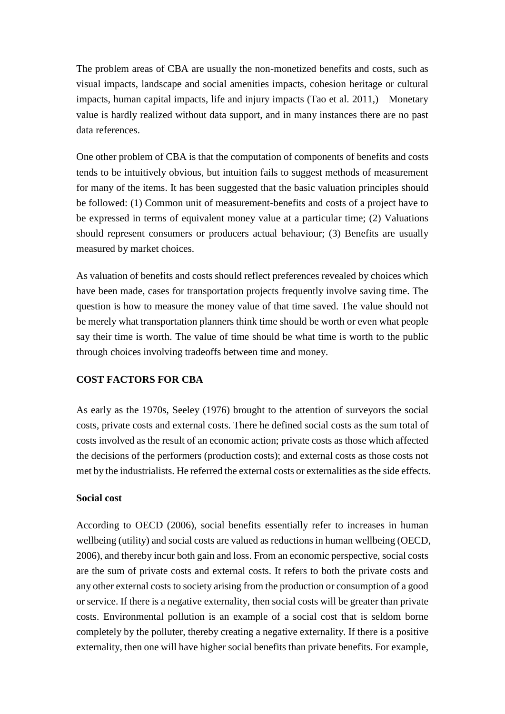The problem areas of CBA are usually the non-monetized benefits and costs, such as visual impacts, landscape and social amenities impacts, cohesion heritage or cultural impacts, human capital impacts, life and injury impacts (Tao et al. 2011,) Monetary value is hardly realized without data support, and in many instances there are no past data references.

One other problem of CBA is that the computation of components of benefits and costs tends to be intuitively obvious, but intuition fails to suggest methods of measurement for many of the items. It has been suggested that the basic valuation principles should be followed: (1) Common unit of measurement-benefits and costs of a project have to be expressed in terms of equivalent money value at a particular time; (2) Valuations should represent consumers or producers actual behaviour; (3) Benefits are usually measured by market choices.

As valuation of benefits and costs should reflect preferences revealed by choices which have been made, cases for transportation projects frequently involve saving time. The question is how to measure the money value of that time saved. The value should not be merely what transportation planners think time should be worth or even what people say their time is worth. The value of time should be what time is worth to the public through choices involving tradeoffs between time and money.

### **COST FACTORS FOR CBA**

As early as the 1970s, Seeley (1976) brought to the attention of surveyors the social costs, private costs and external costs. There he defined social costs as the sum total of costs involved as the result of an economic action; private costs as those which affected the decisions of the performers (production costs); and external costs as those costs not met by the industrialists. He referred the external costs or externalities as the side effects.

## **Social cost**

According to OECD (2006), social benefits essentially refer to increases in human wellbeing (utility) and social costs are valued as reductions in human wellbeing (OECD, 2006), and thereby incur both gain and loss. From an economic perspective, social costs are the sum of private costs and external costs. It refers to both the private costs and any other external costs to society arising from the production or consumption of a good or service. If there is a negative externality, then social costs will be greater than private costs. Environmental pollution is an example of a social cost that is seldom borne completely by the polluter, thereby creating a negative externality. If there is a positive externality, then one will have higher social benefits than private benefits. For example,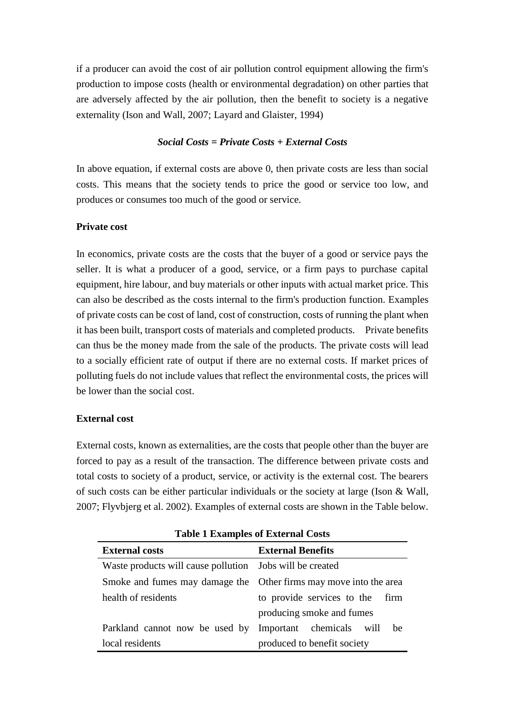if a producer can avoid the cost of air pollution control equipment allowing the firm's production to impose costs (health or environmental degradation) on other parties that are adversely affected by the air pollution, then the benefit to society is a negative externality (Ison and Wall, 2007; Layard and Glaister, 1994)

### *Social Costs = Private Costs + External Costs*

In above equation, if external costs are above 0, then private costs are less than social costs. This means that the society tends to price the good or service too low, and produces or consumes too much of the good or service.

### **Private cost**

In economics, private costs are the costs that the buyer of a good or service pays the seller. It is what a producer of a good, service, or a firm pays to purchase capital equipment, hire labour, and buy materials or other inputs with actual market price. This can also be described as the costs internal to the firm's production function. Examples of private costs can be cost of land, cost of construction, costs of running the plant when it has been built, transport costs of materials and completed products. Private benefits can thus be the money made from the sale of the products. The private costs will lead to a socially efficient rate of output if there are no external costs. If market prices of polluting fuels do not include values that reflect the environmental costs, the prices will be lower than the social cost.

### **External cost**

External costs, known as externalities, are the costs that people other than the buyer are forced to pay as a result of the transaction. The difference between private costs and total costs to society of a product, service, or activity is the external cost. The bearers of such costs can be either particular individuals or the society at large (Ison & Wall, 2007; Flyvbjerg et al. 2002). Examples of external costs are shown in the Table below.

| <b>External costs</b>                                             | <b>External Benefits</b>           |
|-------------------------------------------------------------------|------------------------------------|
| Waste products will cause pollution Jobs will be created          |                                    |
| Smoke and fumes may damage the Other firms may move into the area |                                    |
| health of residents                                               | to provide services to the<br>firm |
|                                                                   | producing smoke and fumes          |
| Parkland cannot now be used by Important chemicals will           | be                                 |
| local residents                                                   | produced to benefit society        |

**Table 1 Examples of External Costs**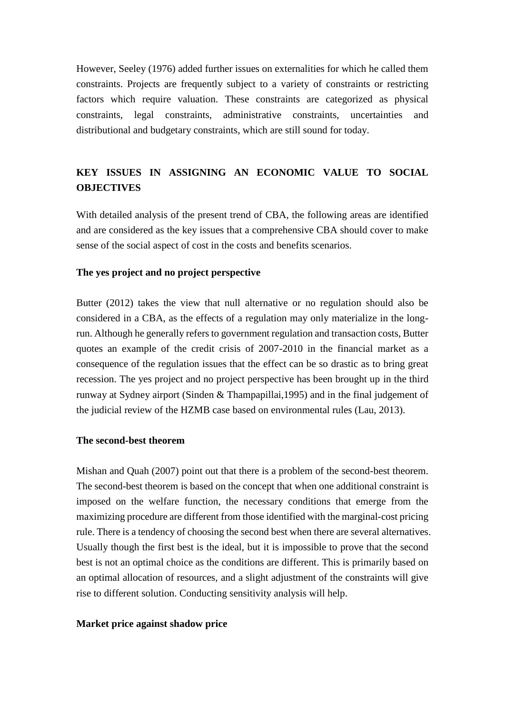However, Seeley (1976) added further issues on externalities for which he called them constraints. Projects are frequently subject to a variety of constraints or restricting factors which require valuation. These constraints are categorized as physical constraints, legal constraints, administrative constraints, uncertainties and distributional and budgetary constraints, which are still sound for today.

# **KEY ISSUES IN ASSIGNING AN ECONOMIC VALUE TO SOCIAL OBJECTIVES**

With detailed analysis of the present trend of CBA, the following areas are identified and are considered as the key issues that a comprehensive CBA should cover to make sense of the social aspect of cost in the costs and benefits scenarios.

### **The yes project and no project perspective**

Butter (2012) takes the view that null alternative or no regulation should also be considered in a CBA, as the effects of a regulation may only materialize in the longrun. Although he generally refers to government regulation and transaction costs, Butter quotes an example of the credit crisis of 2007-2010 in the financial market as a consequence of the regulation issues that the effect can be so drastic as to bring great recession. The yes project and no project perspective has been brought up in the third runway at Sydney airport (Sinden & Thampapillai,1995) and in the final judgement of the judicial review of the HZMB case based on environmental rules (Lau, 2013).

### **The second-best theorem**

Mishan and Quah (2007) point out that there is a problem of the second-best theorem. The second-best theorem is based on the concept that when one additional constraint is imposed on the welfare function, the necessary conditions that emerge from the maximizing procedure are different from those identified with the marginal-cost pricing rule. There is a tendency of choosing the second best when there are several alternatives. Usually though the first best is the ideal, but it is impossible to prove that the second best is not an optimal choice as the conditions are different. This is primarily based on an optimal allocation of resources, and a slight adjustment of the constraints will give rise to different solution. Conducting sensitivity analysis will help.

### **Market price against shadow price**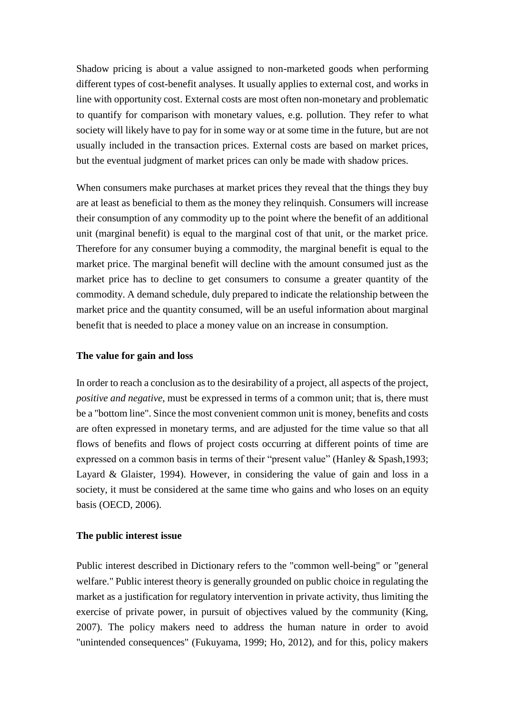Shadow pricing is about a value assigned to non-marketed goods when performing different types of cost-benefit analyses. It usually applies to external cost, and works in line with opportunity cost. External costs are most often non-monetary and problematic to quantify for comparison with monetary values, e.g. pollution. They refer to what society will likely have to pay for in some way or at some time in the future, but are not usually included in the transaction prices. External costs are based on market prices, but the eventual judgment of market prices can only be made with shadow prices.

When consumers make purchases at market prices they reveal that the things they buy are at least as beneficial to them as the money they relinquish. Consumers will increase their consumption of any commodity up to the point where the benefit of an additional unit (marginal benefit) is equal to the marginal cost of that unit, or the market price. Therefore for any consumer buying a commodity, the marginal benefit is equal to the market price. The marginal benefit will decline with the amount consumed just as the market price has to decline to get consumers to consume a greater quantity of the commodity. A demand schedule, duly prepared to indicate the relationship between the market price and the quantity consumed, will be an useful information about marginal benefit that is needed to place a money value on an increase in consumption.

#### **The value for gain and loss**

In order to reach a conclusion as to the desirability of a project, all aspects of the project, *positive and negative*, must be expressed in terms of a common unit; that is, there must be a "bottom line". Since the most convenient common unit is money, benefits and costs are often expressed in monetary terms, and are adjusted for the [time value s](http://en.wikipedia.org/wiki/Time_value_of_money)o that all flows of benefits and flows of project costs occurring at different points of time are expressed on a common basis in terms of their "present value" (Hanley & Spash,1993; Layard & Glaister, 1994). However, in considering the value of gain and loss in a society, it must be considered at the same time who gains and who loses on an equity basis (OECD, 2006).

#### **The public interest issue**

Public interest described in Dictionary refers to the "common well-being" or "general welfare." Public interest theory is generally grounded on public choice in regulating the market as a justification for regulatory intervention in private activity, thus limiting the exercise of private power, in pursuit of objectives valued by the community (King, 2007). The policy makers need to address the human nature in order to avoid "unintended consequences" (Fukuyama, 1999; Ho, 2012), and for this, policy makers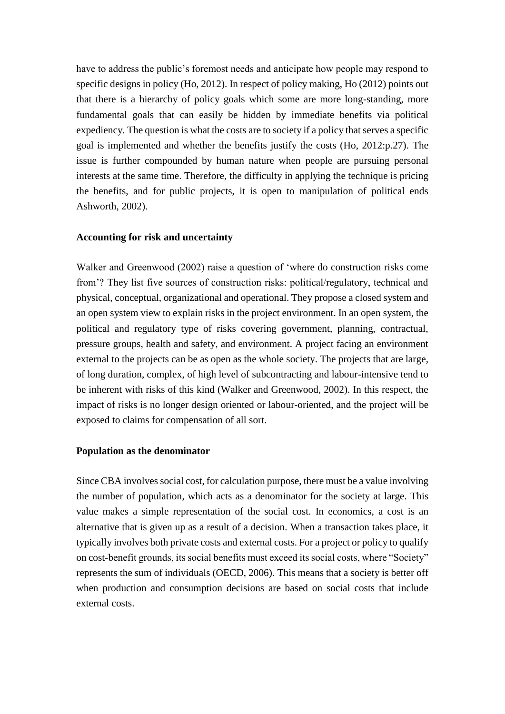have to address the public's foremost needs and anticipate how people may respond to specific designs in policy (Ho, 2012). In respect of policy making, Ho (2012) points out that there is a hierarchy of policy goals which some are more long-standing, more fundamental goals that can easily be hidden by immediate benefits via political expediency. The question is what the costs are to society if a policy that serves a specific goal is implemented and whether the benefits justify the costs (Ho, 2012:p.27). The issue is further compounded by human nature when people are pursuing personal interests at the same time. Therefore, the difficulty in applying the technique is pricing the benefits, and for public projects, it is open to manipulation of political ends Ashworth, 2002).

#### **Accounting for risk and uncertainty**

Walker and Greenwood (2002) raise a question of 'where do construction risks come from'? They list five sources of construction risks: political/regulatory, technical and physical, conceptual, organizational and operational. They propose a closed system and an open system view to explain risks in the project environment. In an open system, the political and regulatory type of risks covering government, planning, contractual, pressure groups, health and safety, and environment. A project facing an environment external to the projects can be as open as the whole society. The projects that are large, of long duration, complex, of high level of subcontracting and labour-intensive tend to be inherent with risks of this kind (Walker and Greenwood, 2002). In this respect, the impact of risks is no longer design oriented or labour-oriented, and the project will be exposed to claims for compensation of all sort.

#### **Population as the denominator**

Since CBA involves social cost, for calculation purpose, there must be a value involving the number of population, which acts as a denominator for the society at large. This value makes a simple representation of the social cost. In [economics,](http://en.wikipedia.org/wiki/Economics) a cost is an alternative that is given up as a result of a decision. When a transaction takes place, it typically involves both private costs and external costs. For a project or policy to qualify on cost-benefit grounds, its social benefits must exceed its social costs, where "Society" represents the sum of individuals (OECD, 2006). This means that a society is better off when production and consumption decisions are based on social costs that include external costs.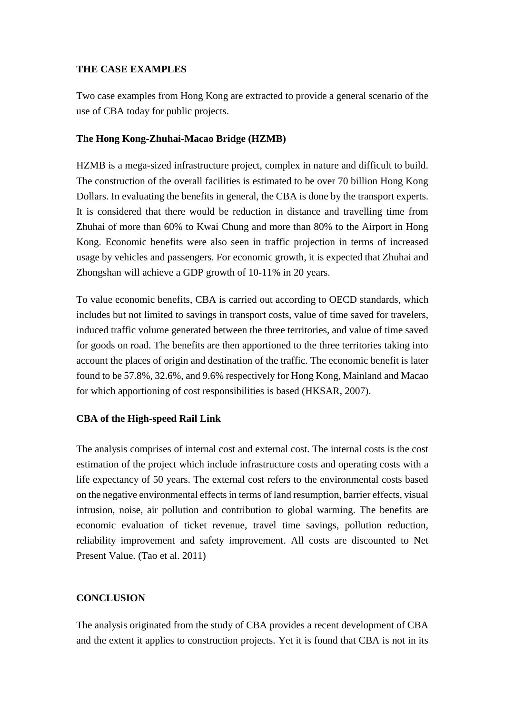## **THE CASE EXAMPLES**

Two case examples from Hong Kong are extracted to provide a general scenario of the use of CBA today for public projects.

## **The Hong Kong-Zhuhai-Macao Bridge (HZMB)**

HZMB is a mega-sized infrastructure project, complex in nature and difficult to build. The construction of the overall facilities is estimated to be over 70 billion Hong Kong Dollars. In evaluating the benefits in general, the CBA is done by the transport experts. It is considered that there would be reduction in distance and travelling time from Zhuhai of more than 60% to Kwai Chung and more than 80% to the Airport in Hong Kong. Economic benefits were also seen in traffic projection in terms of increased usage by vehicles and passengers. For economic growth, it is expected that Zhuhai and Zhongshan will achieve a GDP growth of 10-11% in 20 years.

To value economic benefits, CBA is carried out according to OECD standards, which includes but not limited to savings in transport costs, value of time saved for travelers, induced traffic volume generated between the three territories, and value of time saved for goods on road. The benefits are then apportioned to the three territories taking into account the places of origin and destination of the traffic. The economic benefit is later found to be 57.8%, 32.6%, and 9.6% respectively for Hong Kong, Mainland and Macao for which apportioning of cost responsibilities is based (HKSAR, 2007).

### **CBA of the High-speed Rail Link**

The analysis comprises of internal cost and external cost. The internal costs is the cost estimation of the project which include infrastructure costs and operating costs with a life expectancy of 50 years. The external cost refers to the environmental costs based on the negative environmental effects in terms of land resumption, barrier effects, visual intrusion, noise, air pollution and contribution to global warming. The benefits are economic evaluation of ticket revenue, travel time savings, pollution reduction, reliability improvement and safety improvement. All costs are discounted to Net Present Value. (Tao et al. 2011)

# **CONCLUSION**

The analysis originated from the study of CBA provides a recent development of CBA and the extent it applies to construction projects. Yet it is found that CBA is not in its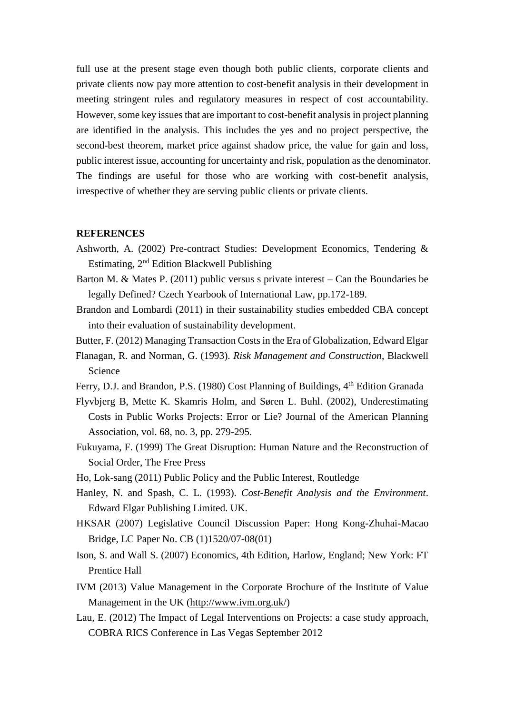full use at the present stage even though both public clients, corporate clients and private clients now pay more attention to cost-benefit analysis in their development in meeting stringent rules and regulatory measures in respect of cost accountability. However, some key issues that are important to cost-benefit analysis in project planning are identified in the analysis. This includes the yes and no project perspective, the second-best theorem, market price against shadow price, the value for gain and loss, public interest issue, accounting for uncertainty and risk, population as the denominator. The findings are useful for those who are working with cost-benefit analysis, irrespective of whether they are serving public clients or private clients.

#### **REFERENCES**

- Ashworth, A. (2002) Pre-contract Studies: Development Economics, Tendering & Estimating, 2nd Edition Blackwell Publishing
- Barton M. & Mates P. (2011) public versus s private interest Can the Boundaries be legally Defined? Czech Yearbook of International Law, pp.172-189.
- Brandon and Lombardi (2011) in their sustainability studies embedded CBA concept into their evaluation of sustainability development.
- Butter, F. (2012) Managing Transaction Costs in the Era of Globalization, Edward Elgar
- Flanagan, R. and Norman, G. (1993). *Risk Management and Construction*, Blackwell Science
- Ferry, D.J. and Brandon, P.S. (1980) Cost Planning of Buildings, 4<sup>th</sup> Edition Granada
- Flyvbjerg B, Mette K. Skamris Holm, and Søren L. Buhl. (2002), Underestimating Costs in Public Works Projects: Error or Lie? Journal of the American Planning Association, vol. 68, no. 3, pp. 279-295.
- Fukuyama, F. (1999) The Great Disruption: Human Nature and the Reconstruction of Social Order, The Free Press
- Ho, [Lok-sang \(2011\)](http://www.routledge.com/books/search/author/lok_sang_ho/) Public Policy and the Public Interest, Routledge
- Hanley, N. and Spash, C. L. (1993). *Cost-Benefit Analysis and the Environment*. Edward Elgar Publishing Limited. UK.
- HKSAR (2007) Legislative Council Discussion Paper: Hong Kong-Zhuhai-Macao Bridge, LC Paper No. CB (1)1520/07-08(01)
- Ison, S. and Wall S. (2007) Economics, 4th Edition, Harlow, England; New York: FT Prentice Hall
- IVM (2013) Value Management in the Corporate Brochure of the Institute of Value Management in the UK [\(http://www.ivm.org.uk/\)](http://www.ivm.org.uk/)
- Lau, E. (2012) The Impact of Legal Interventions on Projects: a case study approach, COBRA RICS Conference in Las Vegas September 2012